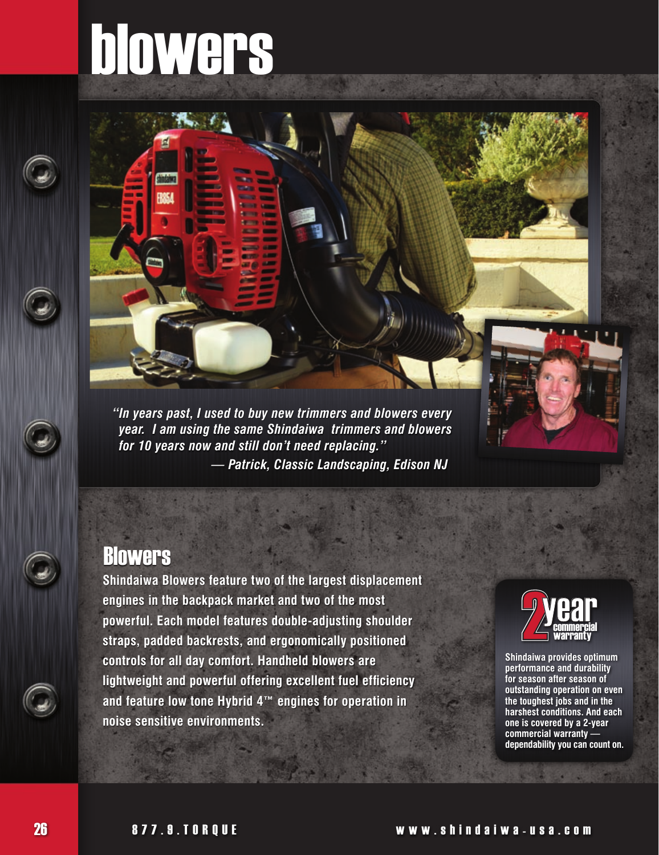# **blowers**

*"In years past, I used to buy new trimmers and blowers every year. I am using the same Shindaiwa trimmers and blowers for 10 years now and still don't need replacing." — Patrick, Classic Landscaping, Edison NJ*

#### **Blowers**

**Shindaiwa Blowers feature two of the largest displacement engines in the backpack market and two of the most powerful. Each model features double-adjusting shoulder straps, padded backrests, and ergonomically positioned controls for all day comfort. Handheld blowers are lightweight and powerful offering excellent fuel efficiency and feature low tone Hybrid 4™ engines for operation in noise sensitive environments.**



**Shindaiwa provides optimum performance and durability for season after season of outstanding operation on even the toughest jobs and in the harshest conditions. And each one is covered by a 2-year commercial warranty dependability you can count on.**